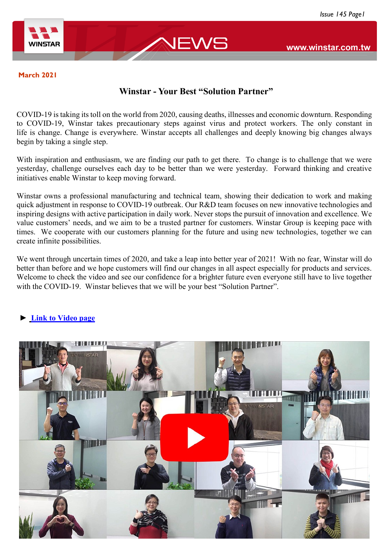

www.winstar.com.tw

#### **March 2021**

## **Winstar - Your Best "Solution Partner"**

COVID-19 is taking its toll on the world from 2020, causing deaths, illnesses and economic downturn. Responding to COVID-19, Winstar takes precautionary steps against virus and protect workers. The only constant in life is change. Change is everywhere. Winstar accepts all challenges and deeply knowing big changes always begin by taking a single step.

With inspiration and enthusiasm, we are finding our path to get there. To change is to challenge that we were yesterday, challenge ourselves each day to be better than we were yesterday. Forward thinking and creative initiatives enable Winstar to keep moving forward.

Winstar owns a professional manufacturing and technical team, showing their dedication to work and making quick adjustment in response to COVID-19 outbreak. Our R&D team focuses on new innovative technologies and inspiring designs with active participation in daily work. Never stops the pursuit of innovation and excellence. We value customers' needs, and we aim to be a trusted partner for customers. Winstar Group is keeping pace with times. We cooperate with our customers planning for the future and using new technologies, together we can create infinite possibilities.

We went through uncertain times of 2020, and take a leap into better year of 2021! With no fear, Winstar will do better than before and we hope customers will find our changes in all aspect especially for products and services. Welcome to check the video and see our confidence for a brighter future even everyone still have to live together with the COVID-19. Winstar believes that we will be your best "Solution Partner".

### **► [Link to Video page](https://www.winstar.com.tw/video/play/71.html)**

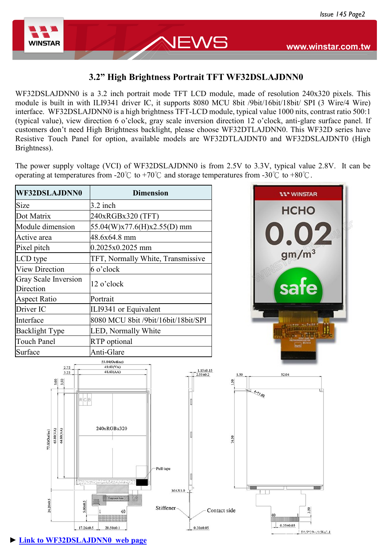

**► [Link to WF32DSLAJDNN0 web page](https://www.winstar.com.tw/products/tft-lcd/high-brightness-tft/wf32dslajdnn.html)**

## **3.2" High Brightness Portrait TFT WF32DSLAJDNN0**

NEWS

WF32DSLAJDNN0 is a 3.2 inch portrait mode TFT LCD module, made of resolution 240x320 pixels. This module is built in with ILI9341 driver IC, it supports 8080 MCU 8bit /9bit/16bit/18bit/ SPI (3 Wire/4 Wire) interface. WF32DSLAJDNN0 is a high brightness TFT-LCD module, typical value 1000 nits, contrast ratio 500:1 (typical value), view direction 6 o'clock, gray scale inversion direction 12 o'clock, anti-glare surface panel. If customers don't need High Brightness backlight, please choose WF32DTLAJDNN0. This WF32D series have Resistive Touch Panel for option, available models are WF32DTLAJDNT0 and WF32DSLAJDNT0 (High Brightness).

The power supply voltage (VCI) of WF32DSLAJDNN0 is from 2.5V to 3.3V, typical value 2.8V. It can be operating at temperatures from -20°C to +70°C and storage temperatures from -30°C to +80°C.

| WF32DSLAJDNN0                                                                         | <b>Dimension</b>                                                                                                  | <b>11" WINSTAR</b>    |
|---------------------------------------------------------------------------------------|-------------------------------------------------------------------------------------------------------------------|-----------------------|
| Size                                                                                  | 3.2 inch                                                                                                          |                       |
| Dot Matrix                                                                            | 240xRGBx320 (TFT)                                                                                                 | <b>HCHO</b>           |
| Module dimension                                                                      | 55.04(W)x77.6(H)x2.55(D) mm                                                                                       |                       |
| Active area                                                                           | 48.6x64.8 mm                                                                                                      | 0.02                  |
| Pixel pitch                                                                           | 0.2025x0.2025 mm                                                                                                  |                       |
| LCD type                                                                              | TFT, Normally White, Transmissive                                                                                 | gm/m <sup>3</sup>     |
| <b>View Direction</b>                                                                 | 6 o'clock                                                                                                         |                       |
| <b>Gray Scale Inversion</b><br>Direction                                              | 12 o'clock                                                                                                        | safe                  |
| <b>Aspect Ratio</b>                                                                   | Portrait                                                                                                          |                       |
| Driver IC                                                                             | ILI9341 or Equivalent                                                                                             |                       |
| Interface                                                                             | 8080 MCU 8bit /9bit/16bit/18bit/SPI                                                                               |                       |
| <b>Backlight Type</b>                                                                 | LED, Normally White                                                                                               |                       |
| <b>Touch Panel</b>                                                                    | RTP optional                                                                                                      |                       |
| Surface                                                                               | Anti-Glare                                                                                                        |                       |
| 2.72<br>3.22<br>3.00<br>3.50<br>$R$ G $B$<br>65.80(VA)<br>64.80(AA)<br>77.60(Outline) | 49.60(VA)<br>$1.15 \pm 0.15$<br>48.60(AA)<br>$2.55 \pm 0.2$<br>1.50<br>1.50<br>240xRGBx320<br>74.50<br>-Pull tape | 52.04<br>$4 - 21.00$  |
| 24.20±0.5<br>$5.00 + 0.5$<br>$17.26 \pm 0.5$                                          | distributions for d<br><b>MAX1.0</b><br>Stiffener<br>Contact side<br>40<br>$20.50 \pm 0.1$<br>$0.30 \pm 0.05$     | 40<br>$0.35 \pm 0.05$ |